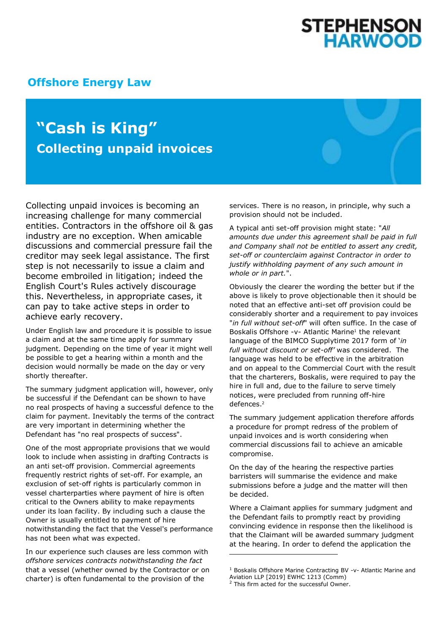## **STEPHENSON<br>HARWOOD**

## **[Offshore Energy Law](http://www.offshoreenergylaw.com/)**

## **"Cash is King" Collecting unpaid invoices**

Collecting unpaid invoices is becoming an increasing challenge for many commercial entities. Contractors in the offshore oil & gas industry are no exception. When amicable discussions and commercial pressure fail the creditor may seek legal assistance. The first step is not necessarily to issue a claim and become embroiled in litigation; indeed the English Court's Rules actively discourage this. Nevertheless, in appropriate cases, it can pay to take active steps in order to achieve early recovery.

Under English law and procedure it is possible to issue a claim and at the same time apply for summary judgment. Depending on the time of year it might well be possible to get a hearing within a month and the decision would normally be made on the day or very shortly thereafter.

The summary judgment application will, however, only be successful if the Defendant can be shown to have no real prospects of having a successful defence to the claim for payment. Inevitably the terms of the contract are very important in determining whether the Defendant has "no real prospects of success".

One of the most appropriate provisions that we would look to include when assisting in drafting Contracts is an anti set-off provision. Commercial agreements frequently restrict rights of set-off. For example, an exclusion of set-off rights is particularly common in vessel charterparties where payment of hire is often critical to the Owners ability to make repayments under its loan facility. By including such a clause the Owner is usually entitled to payment of hire notwithstanding the fact that the Vessel's performance has not been what was expected.

In our experience such clauses are less common with *offshore services contracts notwithstanding the fact* that a vessel (whether owned by the Contractor or on charter) is often fundamental to the provision of the

services. There is no reason, in principle, why such a provision should not be included.

A typical anti set-off provision might state: "*All amounts due under this agreement shall be paid in full and Company shall not be entitled to assert any credit, set-off or counterclaim against Contractor in order to justify withholding payment of any such amount in whole or in part.*".

Obviously the clearer the wording the better but if the above is likely to prove objectionable then it should be noted that an effective anti-set off provision could be considerably shorter and a requirement to pay invoices "*in full without set-off*" will often suffice. In the case of Boskalis Offshore -v- Atlantic Marine<sup>1</sup> the relevant language of the BIMCO Supplytime 2017 form of '*in full without discount or set-off'* was considered. The language was held to be effective in the arbitration and on appeal to the Commercial Court with the result that the charterers, Boskalis, were required to pay the hire in full and, due to the failure to serve timely notices, were precluded from running off-hire defences.<sup>2</sup>

The summary judgement application therefore affords a procedure for prompt redress of the problem of unpaid invoices and is worth considering when commercial discussions fail to achieve an amicable compromise.

On the day of the hearing the respective parties barristers will summarise the evidence and make submissions before a judge and the matter will then be decided.

Where a Claimant applies for summary judgment and the Defendant fails to promptly react by providing convincing evidence in response then the likelihood is that the Claimant will be awarded summary judgment at the hearing. In order to defend the application the

-

<sup>1</sup> Boskalis Offshore Marine Contracting BV -v- Atlantic Marine and Aviation LLP [2019] EWHC 1213 (Comm)

<sup>&</sup>lt;sup>2</sup> This firm acted for the successful Owner.